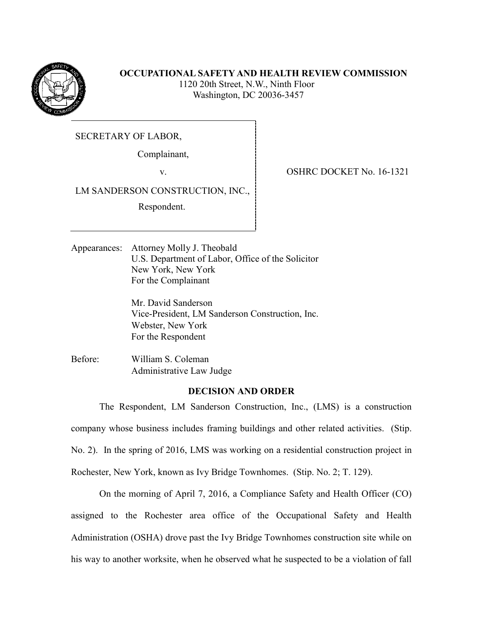

# **OCCUPATIONAL SAFETY AND HEALTH REVIEW COMMISSION**

 1120 20th Street, N.W., Ninth Floor Washington, DC 20036-3457

SECRETARY OF LABOR,

Complainant,

LM SANDERSON CONSTRUCTION, INC.,

Respondent.

v. SHRC DOCKET No. 16-1321

Appearances: Attorney Molly J. Theobald U.S. Department of Labor, Office of the Solicitor New York, New York For the Complainant

> Mr. David Sanderson Vice-President, LM Sanderson Construction, Inc. Webster, New York For the Respondent

Before: William S. Coleman Administrative Law Judge

## **DECISION AND ORDER**

The Respondent, LM Sanderson Construction, Inc., (LMS) is a construction company whose business includes framing buildings and other related activities. (Stip. No. 2). In the spring of 2016, LMS was working on a residential construction project in Rochester, New York, known as Ivy Bridge Townhomes. (Stip. No. 2; T. 129).

On the morning of April 7, 2016, a Compliance Safety and Health Officer (CO) assigned to the Rochester area office of the Occupational Safety and Health Administration (OSHA) drove past the Ivy Bridge Townhomes construction site while on his way to another worksite, when he observed what he suspected to be a violation of fall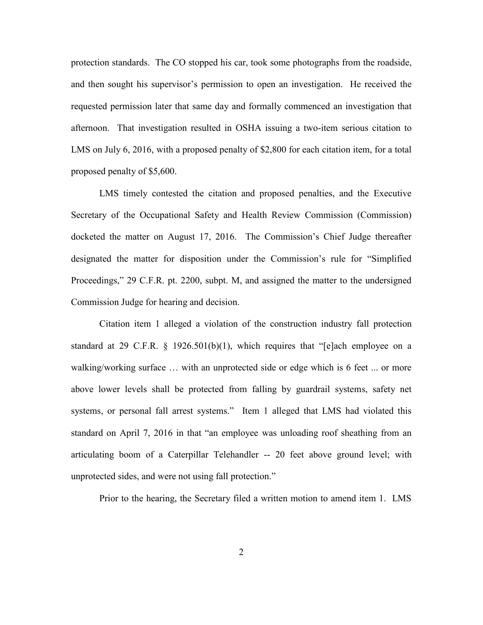protection standards. The CO stopped his car, took some photographs from the roadside, and then sought his supervisor's permission to open an investigation. He received the requested permission later that same day and formally commenced an investigation that afternoon. That investigation resulted in OSHA issuing a two-item serious citation to LMS on July 6, 2016, with a proposed penalty of \$2,800 for each citation item, for a total proposed penalty of \$5,600.

LMS timely contested the citation and proposed penalties, and the Executive Secretary of the Occupational Safety and Health Review Commission (Commission) docketed the matter on August 17, 2016. The Commission's Chief Judge thereafter designated the matter for disposition under the Commission's rule for "Simplified Proceedings," 29 C.F.R. pt. 2200, subpt. M, and assigned the matter to the undersigned Commission Judge for hearing and decision.

Citation item 1 alleged a violation of the construction industry fall protection standard at 29 C.F.R. § 1926.501(b)(1), which requires that "[e]ach employee on a walking/working surface … with an unprotected side or edge which is 6 feet ... or more above lower levels shall be protected from falling by guardrail systems, safety net systems, or personal fall arrest systems." Item 1 alleged that LMS had violated this standard on April 7, 2016 in that "an employee was unloading roof sheathing from an articulating boom of a Caterpillar Telehandler -- 20 feet above ground level; with unprotected sides, and were not using fall protection."

Prior to the hearing, the Secretary filed a written motion to amend item 1. LMS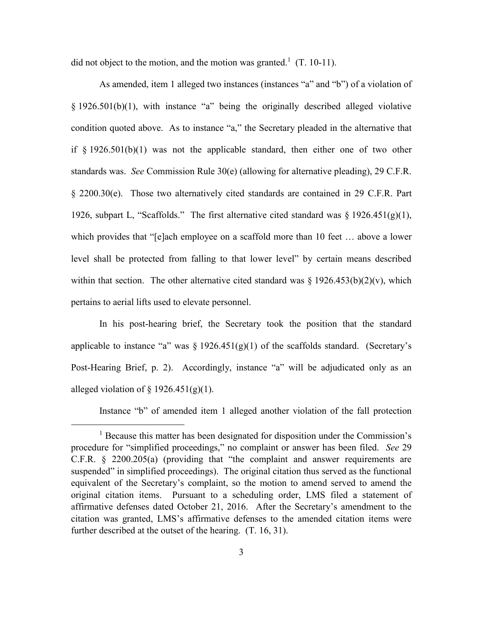did not object to the motion, and the motion was granted.<sup>1</sup> (T. 10-11).

As amended, item 1 alleged two instances (instances "a" and "b") of a violation of § 1926.501(b)(1), with instance "a" being the originally described alleged violative condition quoted above. As to instance "a," the Secretary pleaded in the alternative that if  $\S$  1926.501(b)(1) was not the applicable standard, then either one of two other standards was. *See* Commission Rule 30(e) (allowing for alternative pleading), 29 C.F.R. § 2200.30(e). Those two alternatively cited standards are contained in 29 C.F.R. Part 1926, subpart L, "Scaffolds." The first alternative cited standard was  $\S 1926.451(g)(1)$ , which provides that "[e]ach employee on a scaffold more than 10 feet … above a lower level shall be protected from falling to that lower level" by certain means described within that section. The other alternative cited standard was  $\S 1926.453(b)(2)(v)$ , which pertains to aerial lifts used to elevate personnel.

In his post-hearing brief, the Secretary took the position that the standard applicable to instance "a" was  $\S 1926.451(g)(1)$  of the scaffolds standard. (Secretary's Post-Hearing Brief, p. 2). Accordingly, instance "a" will be adjudicated only as an alleged violation of  $\S$  1926.451(g)(1).

Instance "b" of amended item 1 alleged another violation of the fall protection

<sup>&</sup>lt;sup>1</sup> Because this matter has been designated for disposition under the Commission's procedure for "simplified proceedings," no complaint or answer has been filed. *See* 29 C.F.R. § 2200.205(a) (providing that "the complaint and answer requirements are suspended" in simplified proceedings). The original citation thus served as the functional equivalent of the Secretary's complaint, so the motion to amend served to amend the original citation items. Pursuant to a scheduling order, LMS filed a statement of affirmative defenses dated October 21, 2016. After the Secretary's amendment to the citation was granted, LMS's affirmative defenses to the amended citation items were further described at the outset of the hearing.  $(T. 16, 31)$ .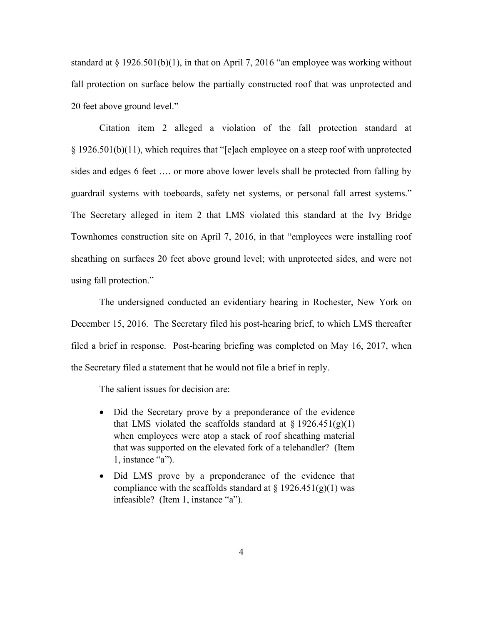standard at  $\S 1926.501(b)(1)$ , in that on April 7, 2016 "an employee was working without fall protection on surface below the partially constructed roof that was unprotected and 20 feet above ground level."

Citation item 2 alleged a violation of the fall protection standard at § 1926.501(b)(11), which requires that "[e]ach employee on a steep roof with unprotected sides and edges 6 feet …. or more above lower levels shall be protected from falling by guardrail systems with toeboards, safety net systems, or personal fall arrest systems." The Secretary alleged in item 2 that LMS violated this standard at the Ivy Bridge Townhomes construction site on April 7, 2016, in that "employees were installing roof sheathing on surfaces 20 feet above ground level; with unprotected sides, and were not using fall protection."

The undersigned conducted an evidentiary hearing in Rochester, New York on December 15, 2016. The Secretary filed his post-hearing brief, to which LMS thereafter filed a brief in response. Post-hearing briefing was completed on May 16, 2017, when the Secretary filed a statement that he would not file a brief in reply.

The salient issues for decision are:

- Did the Secretary prove by a preponderance of the evidence that LMS violated the scaffolds standard at  $\S 1926.451(g)(1)$ when employees were atop a stack of roof sheathing material that was supported on the elevated fork of a telehandler? (Item 1, instance "a").
- Did LMS prove by a preponderance of the evidence that compliance with the scaffolds standard at  $\S 1926.451(g)(1)$  was infeasible? (Item 1, instance "a").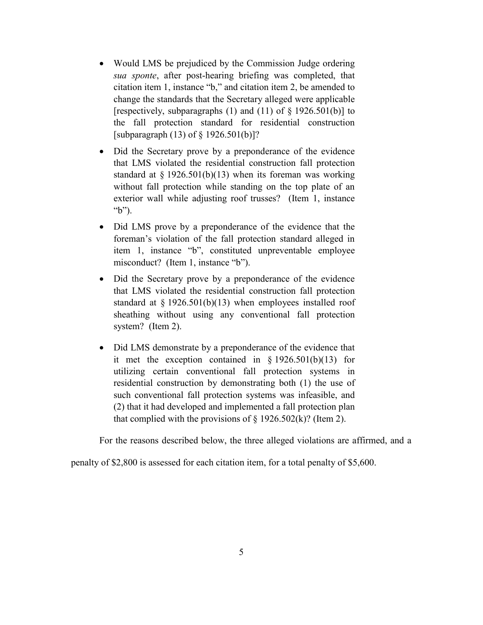- Would LMS be prejudiced by the Commission Judge ordering *sua sponte*, after post-hearing briefing was completed, that citation item 1, instance "b," and citation item 2, be amended to change the standards that the Secretary alleged were applicable [respectively, subparagraphs (1) and (11) of § 1926.501(b)] to the fall protection standard for residential construction [subparagraph (13) of § 1926.501(b)]?
- Did the Secretary prove by a preponderance of the evidence that LMS violated the residential construction fall protection standard at  $\S 1926.501(b)(13)$  when its foreman was working without fall protection while standing on the top plate of an exterior wall while adjusting roof trusses? (Item 1, instance "b").
- Did LMS prove by a preponderance of the evidence that the foreman's violation of the fall protection standard alleged in item 1, instance "b", constituted unpreventable employee misconduct? (Item 1, instance "b").
- Did the Secretary prove by a preponderance of the evidence that LMS violated the residential construction fall protection standard at  $\S 1926.501(b)(13)$  when employees installed roof sheathing without using any conventional fall protection system? (Item 2).
- Did LMS demonstrate by a preponderance of the evidence that it met the exception contained in  $\S 1926.501(b)(13)$  for utilizing certain conventional fall protection systems in residential construction by demonstrating both (1) the use of such conventional fall protection systems was infeasible, and (2) that it had developed and implemented a fall protection plan that complied with the provisions of  $\S$  1926.502(k)? (Item 2).

For the reasons described below, the three alleged violations are affirmed, and a

penalty of \$2,800 is assessed for each citation item, for a total penalty of \$5,600.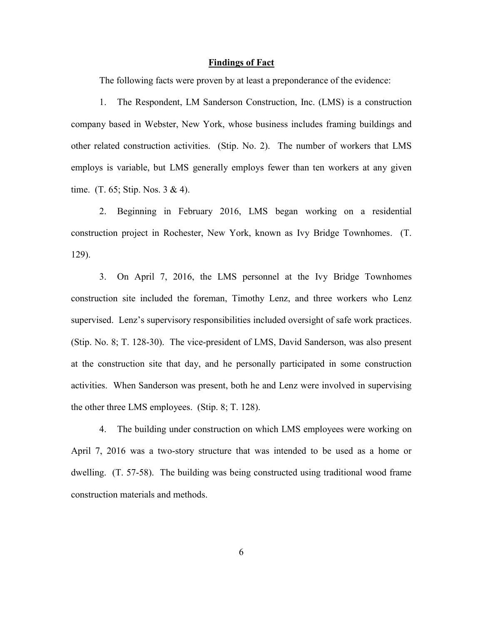#### **Findings of Fact**

The following facts were proven by at least a preponderance of the evidence:

1. The Respondent, LM Sanderson Construction, Inc. (LMS) is a construction company based in Webster, New York, whose business includes framing buildings and other related construction activities. (Stip. No. 2). The number of workers that LMS employs is variable, but LMS generally employs fewer than ten workers at any given time. (T. 65; Stip. Nos. 3 & 4).

2. Beginning in February 2016, LMS began working on a residential construction project in Rochester, New York, known as Ivy Bridge Townhomes. (T. 129).

3. On April 7, 2016, the LMS personnel at the Ivy Bridge Townhomes construction site included the foreman, Timothy Lenz, and three workers who Lenz supervised. Lenz's supervisory responsibilities included oversight of safe work practices. (Stip. No. 8; T. 128-30). The vice-president of LMS, David Sanderson, was also present at the construction site that day, and he personally participated in some construction activities. When Sanderson was present, both he and Lenz were involved in supervising the other three LMS employees. (Stip. 8; T. 128).

4. The building under construction on which LMS employees were working on April 7, 2016 was a two-story structure that was intended to be used as a home or dwelling. (T. 57-58). The building was being constructed using traditional wood frame construction materials and methods.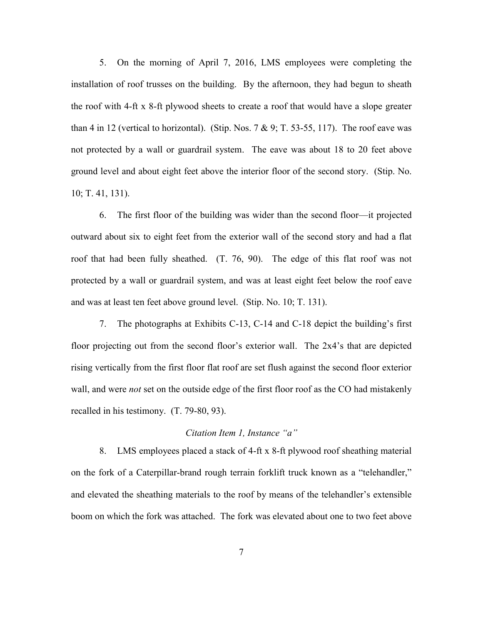5. On the morning of April 7, 2016, LMS employees were completing the installation of roof trusses on the building. By the afternoon, they had begun to sheath the roof with 4-ft x 8-ft plywood sheets to create a roof that would have a slope greater than 4 in 12 (vertical to horizontal). (Stip. Nos.  $7 \& 9$ ; T. 53-55, 117). The roof eave was not protected by a wall or guardrail system. The eave was about 18 to 20 feet above ground level and about eight feet above the interior floor of the second story. (Stip. No. 10; T. 41, 131).

6. The first floor of the building was wider than the second floor—it projected outward about six to eight feet from the exterior wall of the second story and had a flat roof that had been fully sheathed. (T. 76, 90). The edge of this flat roof was not protected by a wall or guardrail system, and was at least eight feet below the roof eave and was at least ten feet above ground level. (Stip. No. 10; T. 131).

7. The photographs at Exhibits C-13, C-14 and C-18 depict the building's first floor projecting out from the second floor's exterior wall. The 2x4's that are depicted rising vertically from the first floor flat roof are set flush against the second floor exterior wall, and were *not* set on the outside edge of the first floor roof as the CO had mistakenly recalled in his testimony. (T. 79-80, 93).

### *Citation Item 1, Instance "a"*

8. LMS employees placed a stack of 4-ft x 8-ft plywood roof sheathing material on the fork of a Caterpillar-brand rough terrain forklift truck known as a "telehandler," and elevated the sheathing materials to the roof by means of the telehandler's extensible boom on which the fork was attached. The fork was elevated about one to two feet above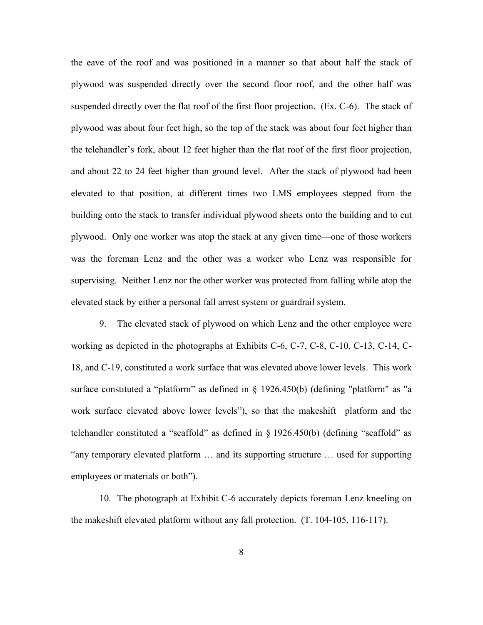the eave of the roof and was positioned in a manner so that about half the stack of plywood was suspended directly over the second floor roof, and the other half was suspended directly over the flat roof of the first floor projection. (Ex. C-6). The stack of plywood was about four feet high, so the top of the stack was about four feet higher than the telehandler's fork, about 12 feet higher than the flat roof of the first floor projection, and about 22 to 24 feet higher than ground level. After the stack of plywood had been elevated to that position, at different times two LMS employees stepped from the building onto the stack to transfer individual plywood sheets onto the building and to cut plywood. Only one worker was atop the stack at any given time—one of those workers was the foreman Lenz and the other was a worker who Lenz was responsible for supervising. Neither Lenz nor the other worker was protected from falling while atop the elevated stack by either a personal fall arrest system or guardrail system.

9. The elevated stack of plywood on which Lenz and the other employee were working as depicted in the photographs at Exhibits C-6, C-7, C-8, C-10, C-13, C-14, C-18, and C-19, constituted a work surface that was elevated above lower levels. This work surface constituted a "platform" as defined in § 1926.450(b) (defining "platform" as "a work surface elevated above lower levels"), so that the makeshift platform and the telehandler constituted a "scaffold" as defined in § 1926.450(b) (defining "scaffold" as "any temporary elevated platform … and its supporting structure … used for supporting employees or materials or both").

10. The photograph at Exhibit C-6 accurately depicts foreman Lenz kneeling on the makeshift elevated platform without any fall protection. (T. 104-105, 116-117).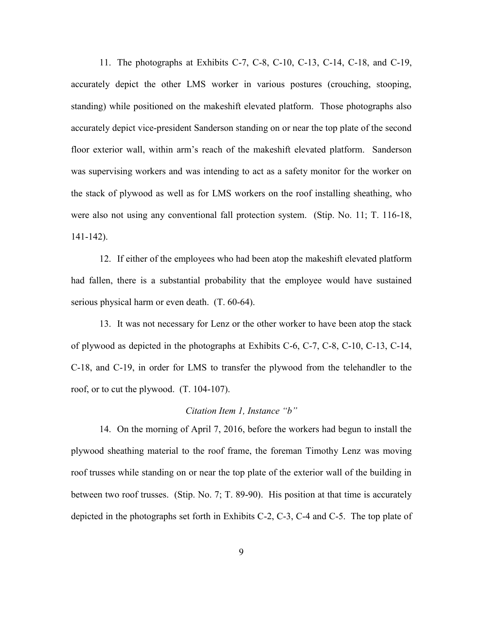11. The photographs at Exhibits C-7, C-8, C-10, C-13, C-14, C-18, and C-19, accurately depict the other LMS worker in various postures (crouching, stooping, standing) while positioned on the makeshift elevated platform. Those photographs also accurately depict vice-president Sanderson standing on or near the top plate of the second floor exterior wall, within arm's reach of the makeshift elevated platform. Sanderson was supervising workers and was intending to act as a safety monitor for the worker on the stack of plywood as well as for LMS workers on the roof installing sheathing, who were also not using any conventional fall protection system. (Stip. No. 11; T. 116-18, 141-142).

12. If either of the employees who had been atop the makeshift elevated platform had fallen, there is a substantial probability that the employee would have sustained serious physical harm or even death. (T. 60-64).

13. It was not necessary for Lenz or the other worker to have been atop the stack of plywood as depicted in the photographs at Exhibits C-6, C-7, C-8, C-10, C-13, C-14, C-18, and C-19, in order for LMS to transfer the plywood from the telehandler to the roof, or to cut the plywood. (T. 104-107).

#### *Citation Item 1, Instance "b"*

14. On the morning of April 7, 2016, before the workers had begun to install the plywood sheathing material to the roof frame, the foreman Timothy Lenz was moving roof trusses while standing on or near the top plate of the exterior wall of the building in between two roof trusses. (Stip. No. 7; T. 89-90). His position at that time is accurately depicted in the photographs set forth in Exhibits C-2, C-3, C-4 and C-5. The top plate of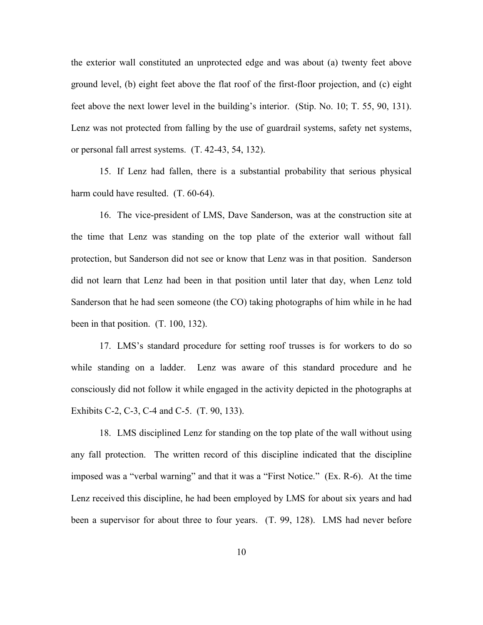the exterior wall constituted an unprotected edge and was about (a) twenty feet above ground level, (b) eight feet above the flat roof of the first-floor projection, and (c) eight feet above the next lower level in the building's interior. (Stip. No. 10; T. 55, 90, 131). Lenz was not protected from falling by the use of guardrail systems, safety net systems, or personal fall arrest systems. (T. 42-43, 54, 132).

15. If Lenz had fallen, there is a substantial probability that serious physical harm could have resulted. (T. 60-64).

16. The vice-president of LMS, Dave Sanderson, was at the construction site at the time that Lenz was standing on the top plate of the exterior wall without fall protection, but Sanderson did not see or know that Lenz was in that position. Sanderson did not learn that Lenz had been in that position until later that day, when Lenz told Sanderson that he had seen someone (the CO) taking photographs of him while in he had been in that position. (T. 100, 132).

17. LMS's standard procedure for setting roof trusses is for workers to do so while standing on a ladder. Lenz was aware of this standard procedure and he consciously did not follow it while engaged in the activity depicted in the photographs at Exhibits C-2, C-3, C-4 and C-5. (T. 90, 133).

18. LMS disciplined Lenz for standing on the top plate of the wall without using any fall protection. The written record of this discipline indicated that the discipline imposed was a "verbal warning" and that it was a "First Notice." (Ex. R-6). At the time Lenz received this discipline, he had been employed by LMS for about six years and had been a supervisor for about three to four years. (T. 99, 128). LMS had never before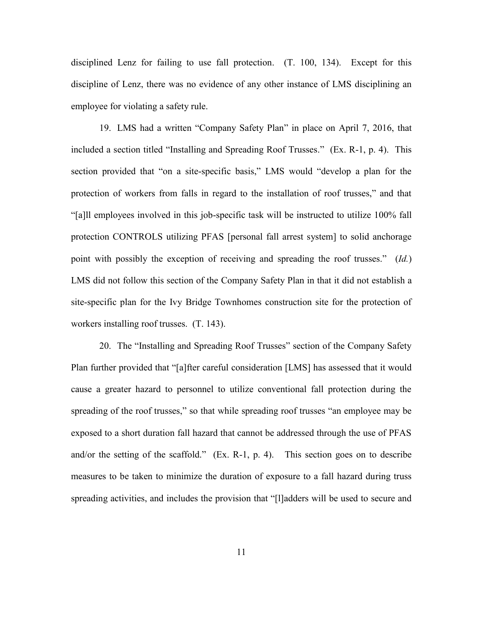disciplined Lenz for failing to use fall protection. (T. 100, 134). Except for this discipline of Lenz, there was no evidence of any other instance of LMS disciplining an employee for violating a safety rule.

19. LMS had a written "Company Safety Plan" in place on April 7, 2016, that included a section titled "Installing and Spreading Roof Trusses." (Ex. R-1, p. 4). This section provided that "on a site-specific basis," LMS would "develop a plan for the protection of workers from falls in regard to the installation of roof trusses," and that "[a]ll employees involved in this job-specific task will be instructed to utilize 100% fall protection CONTROLS utilizing PFAS [personal fall arrest system] to solid anchorage point with possibly the exception of receiving and spreading the roof trusses." (*Id.*) LMS did not follow this section of the Company Safety Plan in that it did not establish a site-specific plan for the Ivy Bridge Townhomes construction site for the protection of workers installing roof trusses. (T. 143).

20. The "Installing and Spreading Roof Trusses" section of the Company Safety Plan further provided that "[a]fter careful consideration [LMS] has assessed that it would cause a greater hazard to personnel to utilize conventional fall protection during the spreading of the roof trusses," so that while spreading roof trusses "an employee may be exposed to a short duration fall hazard that cannot be addressed through the use of PFAS and/or the setting of the scaffold." (Ex. R-1, p. 4). This section goes on to describe measures to be taken to minimize the duration of exposure to a fall hazard during truss spreading activities, and includes the provision that "[l]adders will be used to secure and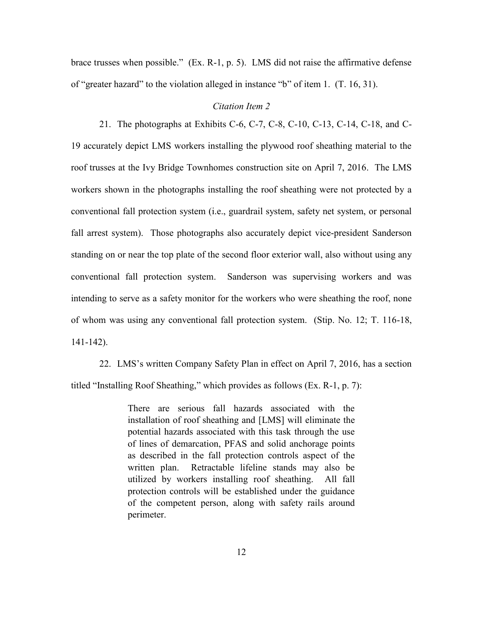brace trusses when possible." (Ex. R-1, p. 5). LMS did not raise the affirmative defense of "greater hazard" to the violation alleged in instance "b" of item 1. (T. 16, 31).

### *Citation Item 2*

21. The photographs at Exhibits C-6, C-7, C-8, C-10, C-13, C-14, C-18, and C-19 accurately depict LMS workers installing the plywood roof sheathing material to the roof trusses at the Ivy Bridge Townhomes construction site on April 7, 2016. The LMS workers shown in the photographs installing the roof sheathing were not protected by a conventional fall protection system (i.e., guardrail system, safety net system, or personal fall arrest system). Those photographs also accurately depict vice-president Sanderson standing on or near the top plate of the second floor exterior wall, also without using any conventional fall protection system. Sanderson was supervising workers and was intending to serve as a safety monitor for the workers who were sheathing the roof, none of whom was using any conventional fall protection system. (Stip. No. 12; T. 116-18, 141-142).

22. LMS's written Company Safety Plan in effect on April 7, 2016, has a section titled "Installing Roof Sheathing," which provides as follows (Ex. R-1, p. 7):

> There are serious fall hazards associated with the installation of roof sheathing and [LMS] will eliminate the potential hazards associated with this task through the use of lines of demarcation, PFAS and solid anchorage points as described in the fall protection controls aspect of the written plan. Retractable lifeline stands may also be utilized by workers installing roof sheathing. All fall protection controls will be established under the guidance of the competent person, along with safety rails around perimeter.

> > 12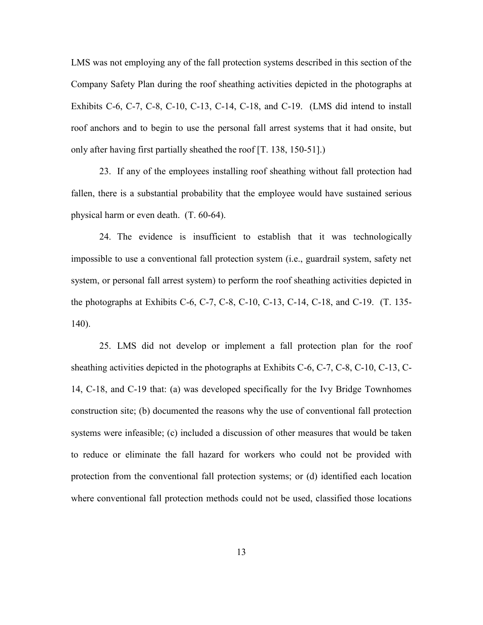LMS was not employing any of the fall protection systems described in this section of the Company Safety Plan during the roof sheathing activities depicted in the photographs at Exhibits C-6, C-7, C-8, C-10, C-13, C-14, C-18, and C-19. (LMS did intend to install roof anchors and to begin to use the personal fall arrest systems that it had onsite, but only after having first partially sheathed the roof [T. 138, 150-51].)

23. If any of the employees installing roof sheathing without fall protection had fallen, there is a substantial probability that the employee would have sustained serious physical harm or even death. (T. 60-64).

24. The evidence is insufficient to establish that it was technologically impossible to use a conventional fall protection system (i.e., guardrail system, safety net system, or personal fall arrest system) to perform the roof sheathing activities depicted in the photographs at Exhibits C-6, C-7, C-8, C-10, C-13, C-14, C-18, and C-19. (T. 135- 140).

25. LMS did not develop or implement a fall protection plan for the roof sheathing activities depicted in the photographs at Exhibits C-6, C-7, C-8, C-10, C-13, C-14, C-18, and C-19 that: (a) was developed specifically for the Ivy Bridge Townhomes construction site; (b) documented the reasons why the use of conventional fall protection systems were infeasible; (c) included a discussion of other measures that would be taken to reduce or eliminate the fall hazard for workers who could not be provided with protection from the conventional fall protection systems; or (d) identified each location where conventional fall protection methods could not be used, classified those locations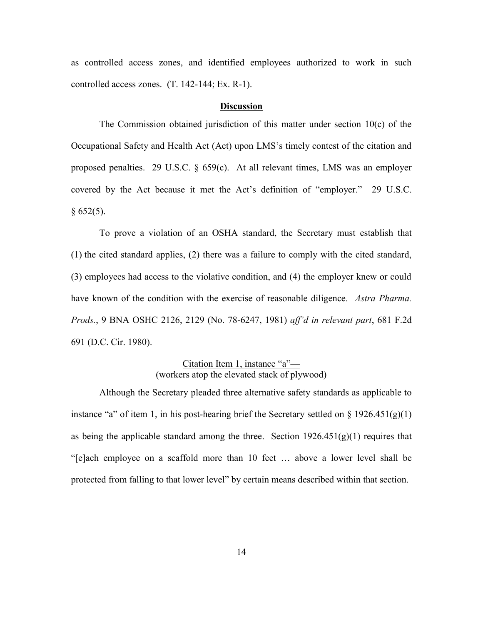as controlled access zones, and identified employees authorized to work in such controlled access zones. (T. 142-144; Ex. R-1).

#### **Discussion**

The Commission obtained jurisdiction of this matter under section 10(c) of the Occupational Safety and Health Act (Act) upon LMS's timely contest of the citation and proposed penalties. 29 U.S.C. § 659(c). At all relevant times, LMS was an employer covered by the Act because it met the Act's definition of "employer." 29 U.S.C.  $§ 652(5).$ 

To prove a violation of an OSHA standard, the Secretary must establish that (1) the cited standard applies, (2) there was a failure to comply with the cited standard, (3) employees had access to the violative condition, and (4) the employer knew or could have known of the condition with the exercise of reasonable diligence. *Astra Pharma. Prods.*, 9 BNA OSHC 2126, 2129 (No. 78-6247, 1981) *aff'd in relevant part*, 681 F.2d 691 (D.C. Cir. 1980).

## Citation Item 1, instance "a"— (workers atop the elevated stack of plywood)

Although the Secretary pleaded three alternative safety standards as applicable to instance "a" of item 1, in his post-hearing brief the Secretary settled on  $\S 1926.451(g)(1)$ as being the applicable standard among the three. Section  $1926.451(g)(1)$  requires that "[e]ach employee on a scaffold more than 10 feet … above a lower level shall be protected from falling to that lower level" by certain means described within that section.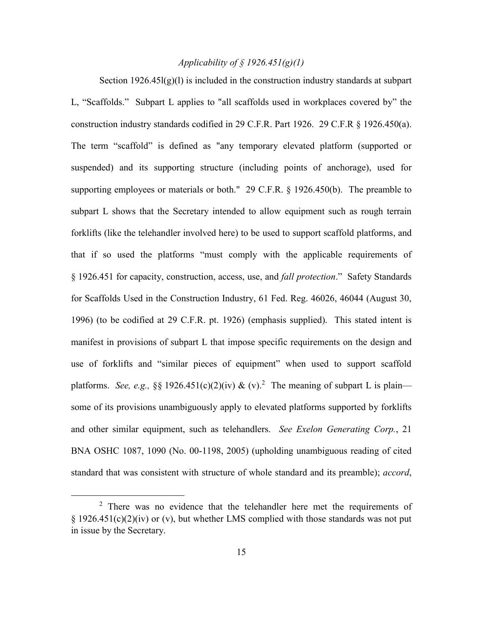### *Applicability of § 1926.451(g)(1)*

Section  $1926.45l(g)(l)$  is included in the construction industry standards at subpart L, "Scaffolds." Subpart L applies to "all scaffolds used in workplaces covered by" the construction industry standards codified in 29 C.F.R. Part 1926. 29 C.F.R § 1926.450(a). The term "scaffold" is defined as "any temporary elevated platform (supported or suspended) and its supporting structure (including points of anchorage), used for supporting employees or materials or both." 29 C.F.R. § 1926.450(b). The preamble to subpart L shows that the Secretary intended to allow equipment such as rough terrain forklifts (like the telehandler involved here) to be used to support scaffold platforms, and that if so used the platforms "must comply with the applicable requirements of § 1926.451 for capacity, construction, access, use, and *fall protection*." Safety Standards for Scaffolds Used in the Construction Industry, 61 Fed. Reg. 46026, 46044 (August 30, 1996) (to be codified at 29 C.F.R. pt. 1926) (emphasis supplied). This stated intent is manifest in provisions of subpart L that impose specific requirements on the design and use of forklifts and "similar pieces of equipment" when used to support scaffold platforms. *See, e.g.,* §§ 1926.451(c)(2)(iv) & (v).<sup>2</sup> The meaning of subpart L is plain some of its provisions unambiguously apply to elevated platforms supported by forklifts and other similar equipment, such as telehandlers. *See Exelon Generating Corp.*, 21 BNA OSHC 1087, 1090 (No. 00-1198, 2005) (upholding unambiguous reading of cited standard that was consistent with structure of whole standard and its preamble); *accord*,

<sup>&</sup>lt;sup>2</sup> There was no evidence that the telehandler here met the requirements of  $§$  1926.451(c)(2)(iv) or (v), but whether LMS complied with those standards was not put in issue by the Secretary.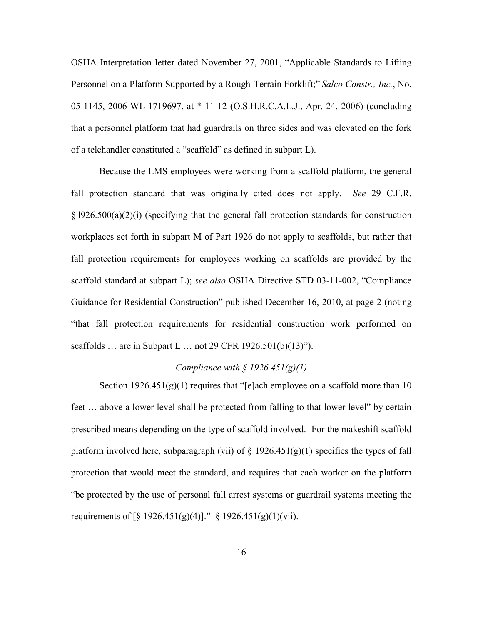OSHA Interpretation letter dated November 27, 2001, "Applicable Standards to Lifting Personnel on a Platform Supported by a Rough-Terrain Forklift;" *Salco Constr., Inc.*, No. 05-1145, 2006 WL 1719697, at \* 11-12 (O.S.H.R.C.A.L.J., Apr. 24, 2006) (concluding that a personnel platform that had guardrails on three sides and was elevated on the fork of a telehandler constituted a "scaffold" as defined in subpart L).

Because the LMS employees were working from a scaffold platform, the general fall protection standard that was originally cited does not apply. *See* 29 C.F.R. § l926.500(a)(2)(i) (specifying that the general fall protection standards for construction workplaces set forth in subpart M of Part 1926 do not apply to scaffolds, but rather that fall protection requirements for employees working on scaffolds are provided by the scaffold standard at subpart L); *see also* OSHA Directive STD 03-11-002, "Compliance Guidance for Residential Construction" published December 16, 2010, at page 2 (noting "that fall protection requirements for residential construction work performed on scaffolds … are in Subpart L … not 29 CFR 1926.501(b)(13)").

#### *Compliance with § 1926.451(g)(1)*

Section  $1926.451(g)(1)$  requires that "[e]ach employee on a scaffold more than 10 feet … above a lower level shall be protected from falling to that lower level" by certain prescribed means depending on the type of scaffold involved. For the makeshift scaffold platform involved here, subparagraph (vii) of  $\S$  1926.451(g)(1) specifies the types of fall protection that would meet the standard, and requires that each worker on the platform "be protected by the use of personal fall arrest systems or guardrail systems meeting the requirements of [§ 1926.451(g)(4)]." § 1926.451(g)(1)(vii).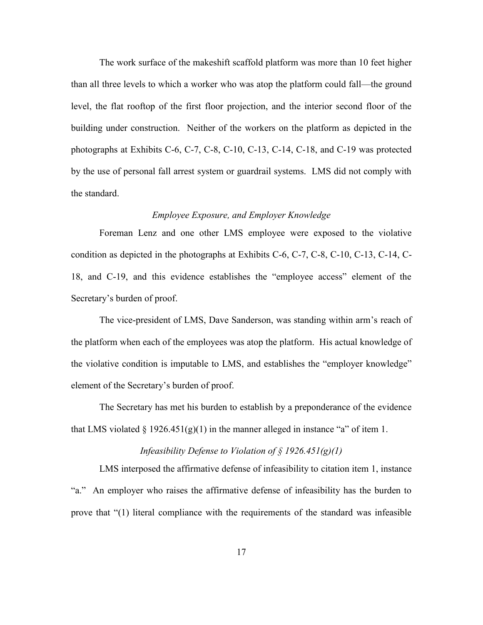The work surface of the makeshift scaffold platform was more than 10 feet higher than all three levels to which a worker who was atop the platform could fall—the ground level, the flat rooftop of the first floor projection, and the interior second floor of the building under construction. Neither of the workers on the platform as depicted in the photographs at Exhibits C-6, C-7, C-8, C-10, C-13, C-14, C-18, and C-19 was protected by the use of personal fall arrest system or guardrail systems. LMS did not comply with the standard.

#### *Employee Exposure, and Employer Knowledge*

Foreman Lenz and one other LMS employee were exposed to the violative condition as depicted in the photographs at Exhibits C-6, C-7, C-8, C-10, C-13, C-14, C-18, and C-19, and this evidence establishes the "employee access" element of the Secretary's burden of proof.

The vice-president of LMS, Dave Sanderson, was standing within arm's reach of the platform when each of the employees was atop the platform. His actual knowledge of the violative condition is imputable to LMS, and establishes the "employer knowledge" element of the Secretary's burden of proof.

The Secretary has met his burden to establish by a preponderance of the evidence that LMS violated  $\S 1926.451(g)(1)$  in the manner alleged in instance "a" of item 1.

## *Infeasibility Defense to Violation of § 1926.451(g)(1)*

LMS interposed the affirmative defense of infeasibility to citation item 1, instance "a." An employer who raises the affirmative defense of infeasibility has the burden to prove that "(1) literal compliance with the requirements of the standard was infeasible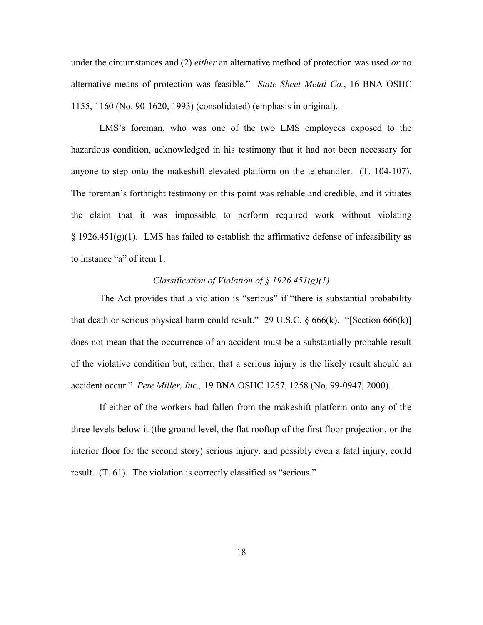under the circumstances and (2) *either* an alternative method of protection was used *or* no alternative means of protection was feasible." *State Sheet Metal Co.*, 16 BNA OSHC 1155, 1160 (No. 90-1620, 1993) (consolidated) (emphasis in original).

LMS's foreman, who was one of the two LMS employees exposed to the hazardous condition, acknowledged in his testimony that it had not been necessary for anyone to step onto the makeshift elevated platform on the telehandler. (T. 104-107). The foreman's forthright testimony on this point was reliable and credible, and it vitiates the claim that it was impossible to perform required work without violating  $\S$  1926.451(g)(1). LMS has failed to establish the affirmative defense of infeasibility as to instance "a" of item 1.

## *Classification of Violation of § 1926.451(g)(1)*

The Act provides that a violation is "serious" if "there is substantial probability that death or serious physical harm could result." 29 U.S.C.  $\S 666(k)$ . "[Section 666(k)] does not mean that the occurrence of an accident must be a substantially probable result of the violative condition but, rather, that a serious injury is the likely result should an accident occur." *Pete Miller, Inc.,* 19 BNA OSHC 1257, 1258 (No. 99-0947, 2000).

If either of the workers had fallen from the makeshift platform onto any of the three levels below it (the ground level, the flat rooftop of the first floor projection, or the interior floor for the second story) serious injury, and possibly even a fatal injury, could result. (T. 61). The violation is correctly classified as "serious."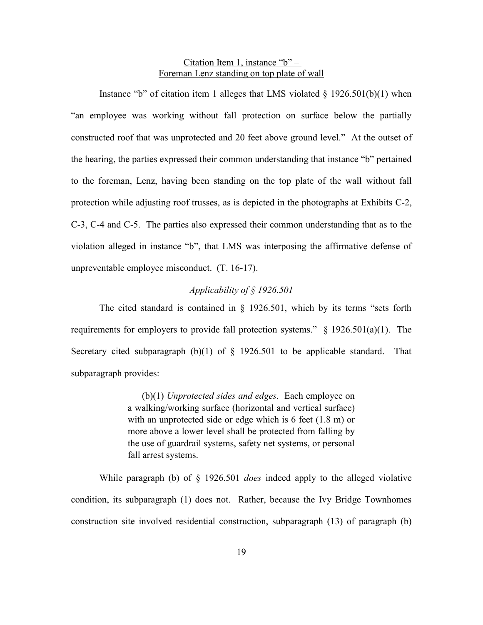### Citation Item 1, instance " $b$ " – Foreman Lenz standing on top plate of wall

Instance "b" of citation item 1 alleges that LMS violated  $\S$  1926.501(b)(1) when "an employee was working without fall protection on surface below the partially constructed roof that was unprotected and 20 feet above ground level." At the outset of the hearing, the parties expressed their common understanding that instance "b" pertained to the foreman, Lenz, having been standing on the top plate of the wall without fall protection while adjusting roof trusses, as is depicted in the photographs at Exhibits C-2, C-3, C-4 and C-5. The parties also expressed their common understanding that as to the violation alleged in instance "b", that LMS was interposing the affirmative defense of unpreventable employee misconduct. (T. 16-17).

### *Applicability of § 1926.501*

The cited standard is contained in § 1926.501, which by its terms "sets forth requirements for employers to provide fall protection systems."  $\S$  1926.501(a)(1). The Secretary cited subparagraph  $(b)(1)$  of § 1926.501 to be applicable standard. That subparagraph provides:

> (b)(1) *Unprotected sides and edges.* Each employee on a walking/working surface (horizontal and vertical surface) with an unprotected side or edge which is 6 feet  $(1.8 \text{ m})$  or more above a lower level shall be protected from falling by the use of guardrail systems, safety net systems, or personal fall arrest systems.

While paragraph (b) of § 1926.501 *does* indeed apply to the alleged violative condition, its subparagraph (1) does not. Rather, because the Ivy Bridge Townhomes construction site involved residential construction, subparagraph (13) of paragraph (b)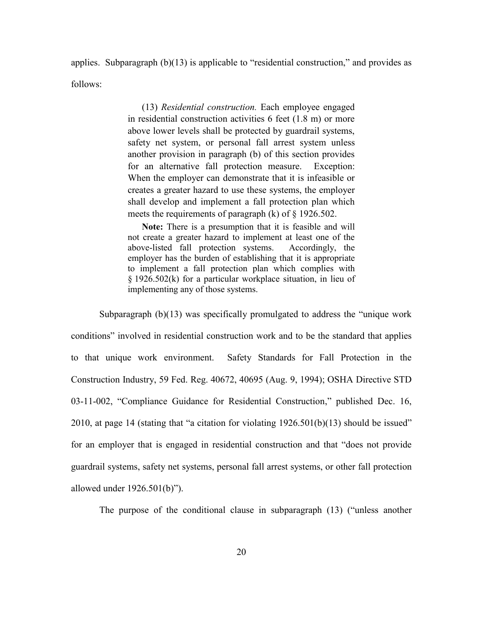applies. Subparagraph (b)(13) is applicable to "residential construction," and provides as follows:

> (13) *Residential construction.* Each employee engaged in residential construction activities 6 feet (1.8 m) or more above lower levels shall be protected by guardrail systems, safety net system, or personal fall arrest system unless another provision in paragraph (b) of this section provides for an alternative fall protection measure. Exception: When the employer can demonstrate that it is infeasible or creates a greater hazard to use these systems, the employer shall develop and implement a fall protection plan which meets the requirements of paragraph (k) of § 1926.502.

> **Note:** There is a presumption that it is feasible and will not create a greater hazard to implement at least one of the above-listed fall protection systems. Accordingly, the employer has the burden of establishing that it is appropriate to implement a fall protection plan which complies with § 1926.502(k) for a particular workplace situation, in lieu of implementing any of those systems.

Subparagraph  $(b)(13)$  was specifically promulgated to address the "unique work" conditions" involved in residential construction work and to be the standard that applies to that unique work environment. Safety Standards for Fall Protection in the Construction Industry, 59 Fed. Reg. 40672, 40695 (Aug. 9, 1994); OSHA Directive STD 03-11-002, "Compliance Guidance for Residential Construction," published Dec. 16, 2010, at page 14 (stating that "a citation for violating 1926.501(b)(13) should be issued" for an employer that is engaged in residential construction and that "does not provide guardrail systems, safety net systems, personal fall arrest systems, or other fall protection allowed under 1926.501(b)").

The purpose of the conditional clause in subparagraph (13) ("unless another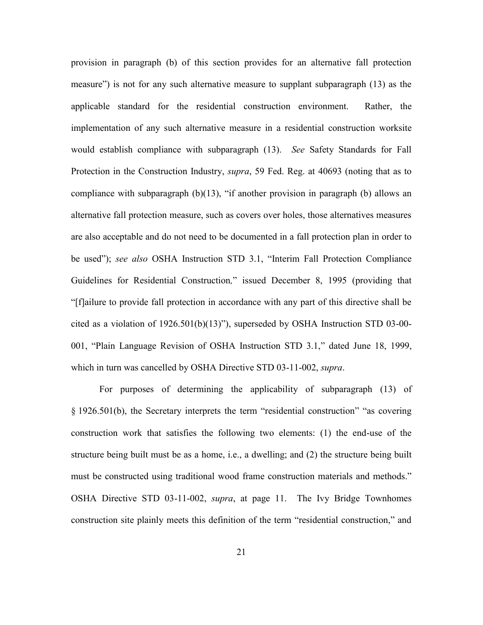provision in paragraph (b) of this section provides for an alternative fall protection measure") is not for any such alternative measure to supplant subparagraph (13) as the applicable standard for the residential construction environment. Rather, the implementation of any such alternative measure in a residential construction worksite would establish compliance with subparagraph (13). *See* Safety Standards for Fall Protection in the Construction Industry, *supra*, 59 Fed. Reg. at 40693 (noting that as to compliance with subparagraph  $(b)(13)$ , "if another provision in paragraph  $(b)$  allows an alternative fall protection measure, such as covers over holes, those alternatives measures are also acceptable and do not need to be documented in a fall protection plan in order to be used"); *see also* OSHA Instruction STD 3.1, "Interim Fall Protection Compliance Guidelines for Residential Construction*,*" issued December 8, 1995 (providing that "[f]ailure to provide fall protection in accordance with any part of this directive shall be cited as a violation of 1926.501(b)(13)"), superseded by OSHA Instruction STD 03-00- 001, "Plain Language Revision of OSHA Instruction STD 3.1," dated June 18, 1999, which in turn was cancelled by OSHA Directive STD 03-11-002, *supra*.

For purposes of determining the applicability of subparagraph (13) of § 1926.501(b), the Secretary interprets the term "residential construction" "as covering construction work that satisfies the following two elements: (1) the end-use of the structure being built must be as a home, i.e., a dwelling; and (2) the structure being built must be constructed using traditional wood frame construction materials and methods." OSHA Directive STD 03-11-002, *supra*, at page 11. The Ivy Bridge Townhomes construction site plainly meets this definition of the term "residential construction," and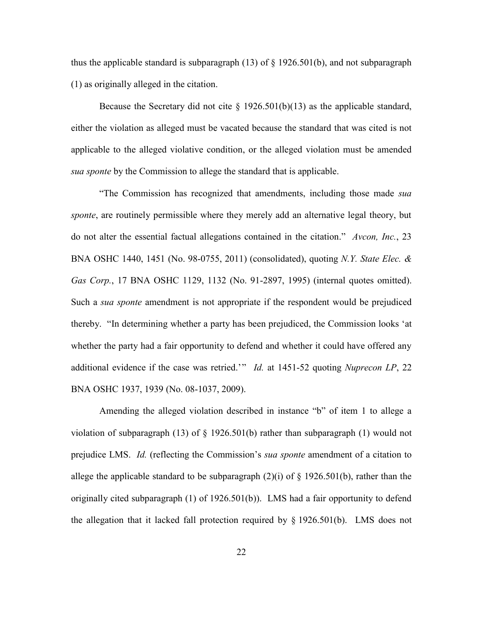thus the applicable standard is subparagraph  $(13)$  of § 1926.501(b), and not subparagraph (1) as originally alleged in the citation.

Because the Secretary did not cite  $\S$  1926.501(b)(13) as the applicable standard, either the violation as alleged must be vacated because the standard that was cited is not applicable to the alleged violative condition, or the alleged violation must be amended *sua sponte* by the Commission to allege the standard that is applicable.

"The Commission has recognized that amendments, including those made *sua sponte*, are routinely permissible where they merely add an alternative legal theory, but do not alter the essential factual allegations contained in the citation." *Avcon, Inc.*, 23 BNA OSHC 1440, 1451 (No. 98-0755, 2011) (consolidated), quoting *N.Y. State Elec. & Gas Corp.*, 17 BNA OSHC 1129, 1132 (No. 91-2897, 1995) (internal quotes omitted). Such a *sua sponte* amendment is not appropriate if the respondent would be prejudiced thereby. "In determining whether a party has been prejudiced, the Commission looks 'at whether the party had a fair opportunity to defend and whether it could have offered any additional evidence if the case was retried.'" *Id.* at 1451-52 quoting *Nuprecon LP*, 22 BNA OSHC 1937, 1939 (No. 08-1037, 2009).

Amending the alleged violation described in instance "b" of item 1 to allege a violation of subparagraph (13) of  $\S$  1926.501(b) rather than subparagraph (1) would not prejudice LMS. *Id.* (reflecting the Commission's *sua sponte* amendment of a citation to allege the applicable standard to be subparagraph  $(2)(i)$  of § 1926.501(b), rather than the originally cited subparagraph (1) of 1926.501(b)). LMS had a fair opportunity to defend the allegation that it lacked fall protection required by § 1926.501(b). LMS does not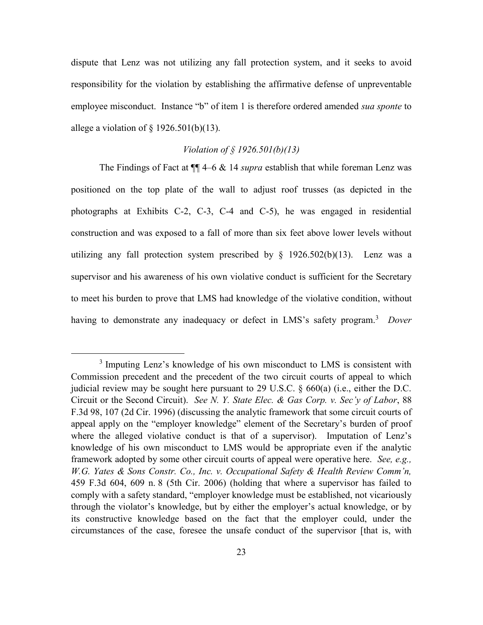dispute that Lenz was not utilizing any fall protection system, and it seeks to avoid responsibility for the violation by establishing the affirmative defense of unpreventable employee misconduct. Instance "b" of item 1 is therefore ordered amended *sua sponte* to allege a violation of  $\S$  1926.501(b)(13).

## *Violation of § 1926.501(b)(13)*

The Findings of Fact at ¶¶ 4–6 & 14 *supra* establish that while foreman Lenz was positioned on the top plate of the wall to adjust roof trusses (as depicted in the photographs at Exhibits C-2, C-3, C-4 and C-5), he was engaged in residential construction and was exposed to a fall of more than six feet above lower levels without utilizing any fall protection system prescribed by  $\S$  1926.502(b)(13). Lenz was a supervisor and his awareness of his own violative conduct is sufficient for the Secretary to meet his burden to prove that LMS had knowledge of the violative condition, without having to demonstrate any inadequacy or defect in LMS's safety program.<sup>3</sup> *Dover* 

<sup>&</sup>lt;sup>3</sup> Imputing Lenz's knowledge of his own misconduct to LMS is consistent with Commission precedent and the precedent of the two circuit courts of appeal to which judicial review may be sought here pursuant to 29 U.S.C. § 660(a) (i.e., either the D.C. Circuit or the Second Circuit). *See N. Y. State Elec. & Gas Corp. v. Sec'y of Labor*, 88 F.3d 98, 107 (2d Cir. 1996) (discussing the analytic framework that some circuit courts of appeal apply on the "employer knowledge" element of the Secretary's burden of proof where the alleged violative conduct is that of a supervisor). Imputation of Lenz's knowledge of his own misconduct to LMS would be appropriate even if the analytic framework adopted by some other circuit courts of appeal were operative here. *See, e.g., W.G. Yates & Sons Constr. Co., Inc. v. Occupational Safety & Health Review Comm'n,*  459 F.3d 604, 609 n. 8 (5th Cir. 2006) (holding that where a supervisor has failed to comply with a safety standard, "employer knowledge must be established, not vicariously through the violator's knowledge, but by either the employer's actual knowledge, or by its constructive knowledge based on the fact that the employer could, under the circumstances of the case, foresee the unsafe conduct of the supervisor [that is, with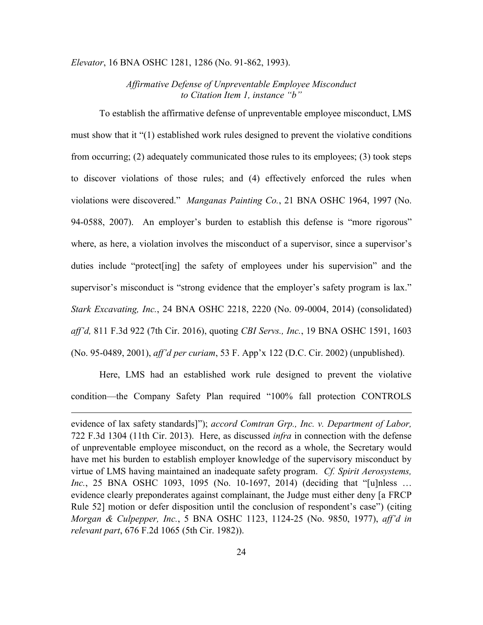#### *Elevator*, 16 BNA OSHC 1281, 1286 (No. 91-862, 1993).

## *Affirmative Defense of Unpreventable Employee Misconduct to Citation Item 1, instance "b"*

To establish the affirmative defense of unpreventable employee misconduct, LMS must show that it "(1) established work rules designed to prevent the violative conditions from occurring; (2) adequately communicated those rules to its employees; (3) took steps to discover violations of those rules; and (4) effectively enforced the rules when violations were discovered." *Manganas Painting Co.*, 21 BNA OSHC 1964, 1997 (No. 94-0588, 2007). An employer's burden to establish this defense is "more rigorous" where, as here, a violation involves the misconduct of a supervisor, since a supervisor's duties include "protect[ing] the safety of employees under his supervision" and the supervisor's misconduct is "strong evidence that the employer's safety program is lax." *Stark Excavating, Inc.*, 24 BNA OSHC 2218, 2220 (No. 09-0004, 2014) (consolidated) *aff'd,* 811 F.3d 922 (7th Cir. 2016), quoting *CBI Servs., Inc.*, 19 BNA OSHC 1591, 1603 (No. 95-0489, 2001), *aff'd per curiam*, 53 F. App'x 122 (D.C. Cir. 2002) (unpublished).

Here, LMS had an established work rule designed to prevent the violative condition—the Company Safety Plan required "100% fall protection CONTROLS

evidence of lax safety standards]"); *accord Comtran Grp., Inc. v. Department of Labor,* 722 F.3d 1304 (11th Cir. 2013). Here, as discussed *infra* in connection with the defense of unpreventable employee misconduct, on the record as a whole, the Secretary would have met his burden to establish employer knowledge of the supervisory misconduct by virtue of LMS having maintained an inadequate safety program. *Cf. Spirit Aerosystems, Inc.*, 25 BNA OSHC 1093, 1095 (No. 10-1697, 2014) (deciding that "[u]nless … evidence clearly preponderates against complainant, the Judge must either deny [a FRCP Rule 52] motion or defer disposition until the conclusion of respondent's case") (citing *Morgan & Culpepper, Inc.*, 5 BNA OSHC 1123, 1124-25 (No. 9850, 1977), *aff'd in relevant part*, 676 F.2d 1065 (5th Cir. 1982)).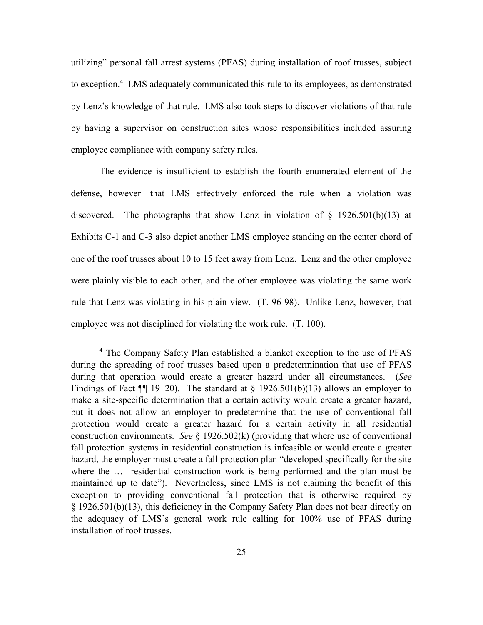utilizing" personal fall arrest systems (PFAS) during installation of roof trusses, subject to exception.<sup>4</sup> LMS adequately communicated this rule to its employees, as demonstrated by Lenz's knowledge of that rule. LMS also took steps to discover violations of that rule by having a supervisor on construction sites whose responsibilities included assuring employee compliance with company safety rules.

The evidence is insufficient to establish the fourth enumerated element of the defense, however—that LMS effectively enforced the rule when a violation was discovered. The photographs that show Lenz in violation of  $\S$  1926.501(b)(13) at Exhibits C-1 and C-3 also depict another LMS employee standing on the center chord of one of the roof trusses about 10 to 15 feet away from Lenz. Lenz and the other employee were plainly visible to each other, and the other employee was violating the same work rule that Lenz was violating in his plain view. (T. 96-98). Unlike Lenz, however, that employee was not disciplined for violating the work rule. (T. 100).

<sup>4</sup> The Company Safety Plan established a blanket exception to the use of PFAS during the spreading of roof trusses based upon a predetermination that use of PFAS during that operation would create a greater hazard under all circumstances. (*See* Findings of Fact  $\P$  19–20). The standard at § 1926.501(b)(13) allows an employer to make a site-specific determination that a certain activity would create a greater hazard, but it does not allow an employer to predetermine that the use of conventional fall protection would create a greater hazard for a certain activity in all residential construction environments. *See* § 1926.502(k) (providing that where use of conventional fall protection systems in residential construction is infeasible or would create a greater hazard, the employer must create a fall protection plan "developed specifically for the site where the … residential construction work is being performed and the plan must be maintained up to date"). Nevertheless, since LMS is not claiming the benefit of this exception to providing conventional fall protection that is otherwise required by § 1926.501(b)(13), this deficiency in the Company Safety Plan does not bear directly on the adequacy of LMS's general work rule calling for 100% use of PFAS during installation of roof trusses.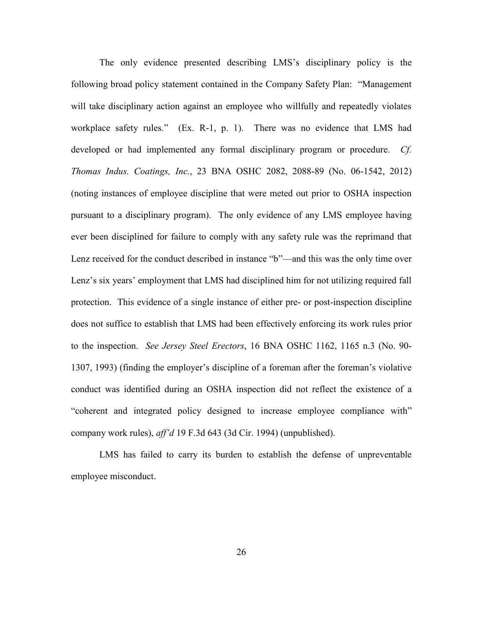The only evidence presented describing LMS's disciplinary policy is the following broad policy statement contained in the Company Safety Plan: "Management will take disciplinary action against an employee who willfully and repeatedly violates workplace safety rules." (Ex. R-1, p. 1). There was no evidence that LMS had developed or had implemented any formal disciplinary program or procedure. *Cf. Thomas Indus. Coatings, Inc.*, 23 BNA OSHC 2082, 2088-89 (No. 06-1542, 2012) (noting instances of employee discipline that were meted out prior to OSHA inspection pursuant to a disciplinary program). The only evidence of any LMS employee having ever been disciplined for failure to comply with any safety rule was the reprimand that Lenz received for the conduct described in instance "b"—and this was the only time over Lenz's six years' employment that LMS had disciplined him for not utilizing required fall protection. This evidence of a single instance of either pre- or post-inspection discipline does not suffice to establish that LMS had been effectively enforcing its work rules prior to the inspection. *See Jersey Steel Erectors*, 16 BNA OSHC 1162, 1165 n.3 (No. 90- 1307, 1993) (finding the employer's discipline of a foreman after the foreman's violative conduct was identified during an OSHA inspection did not reflect the existence of a "coherent and integrated policy designed to increase employee compliance with" company work rules), *aff'd* 19 F.3d 643 (3d Cir. 1994) (unpublished).

LMS has failed to carry its burden to establish the defense of unpreventable employee misconduct.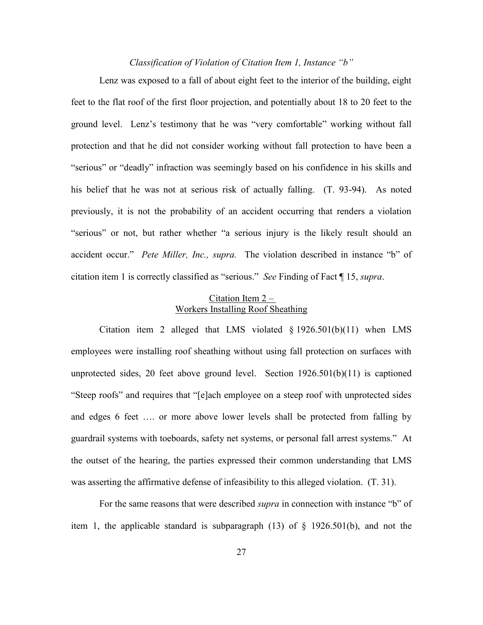## *Classification of Violation of Citation Item 1, Instance "b"*

Lenz was exposed to a fall of about eight feet to the interior of the building, eight feet to the flat roof of the first floor projection, and potentially about 18 to 20 feet to the ground level. Lenz's testimony that he was "very comfortable" working without fall protection and that he did not consider working without fall protection to have been a "serious" or "deadly" infraction was seemingly based on his confidence in his skills and his belief that he was not at serious risk of actually falling. (T. 93-94). As noted previously, it is not the probability of an accident occurring that renders a violation "serious" or not, but rather whether "a serious injury is the likely result should an accident occur." *Pete Miller, Inc., supra.* The violation described in instance "b" of citation item 1 is correctly classified as "serious." *See* Finding of Fact ¶ 15, *supra*.

## Citation Item 2 – Workers Installing Roof Sheathing

Citation item 2 alleged that LMS violated § 1926.501(b)(11) when LMS employees were installing roof sheathing without using fall protection on surfaces with unprotected sides, 20 feet above ground level. Section 1926.501(b)(11) is captioned "Steep roofs" and requires that "[e]ach employee on a steep roof with unprotected sides and edges 6 feet …. or more above lower levels shall be protected from falling by guardrail systems with toeboards, safety net systems, or personal fall arrest systems." At the outset of the hearing, the parties expressed their common understanding that LMS was asserting the affirmative defense of infeasibility to this alleged violation. (T. 31).

For the same reasons that were described *supra* in connection with instance "b" of item 1, the applicable standard is subparagraph (13) of § 1926.501(b), and not the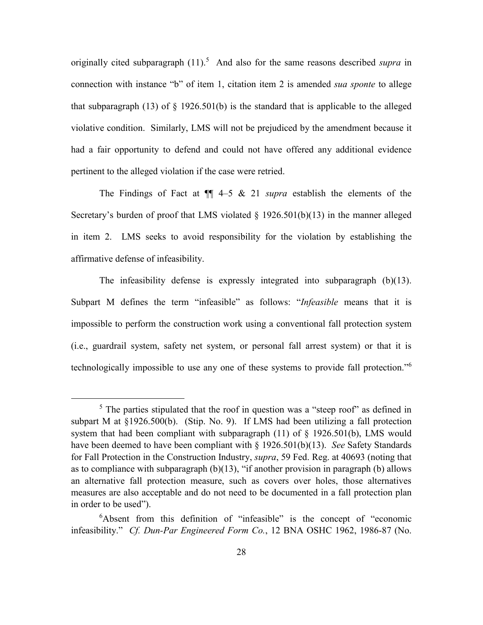originally cited subparagraph (11).<sup>5</sup> And also for the same reasons described *supra* in connection with instance "b" of item 1, citation item 2 is amended *sua sponte* to allege that subparagraph (13) of  $\S$  1926.501(b) is the standard that is applicable to the alleged violative condition. Similarly, LMS will not be prejudiced by the amendment because it had a fair opportunity to defend and could not have offered any additional evidence pertinent to the alleged violation if the case were retried.

The Findings of Fact at ¶¶ 4–5 & 21 *supra* establish the elements of the Secretary's burden of proof that LMS violated § 1926.501(b)(13) in the manner alleged in item 2. LMS seeks to avoid responsibility for the violation by establishing the affirmative defense of infeasibility.

The infeasibility defense is expressly integrated into subparagraph (b)(13). Subpart M defines the term "infeasible" as follows: "*Infeasible* means that it is impossible to perform the construction work using a conventional fall protection system (i.e., guardrail system, safety net system, or personal fall arrest system) or that it is technologically impossible to use any one of these systems to provide fall protection."<sup>6</sup>

 $<sup>5</sup>$  The parties stipulated that the roof in question was a "steep roof" as defined in</sup> subpart M at §1926.500(b). (Stip. No. 9). If LMS had been utilizing a fall protection system that had been compliant with subparagraph  $(11)$  of  $\S$  1926.501(b), LMS would have been deemed to have been compliant with § 1926.501(b)(13). *See* Safety Standards for Fall Protection in the Construction Industry, *supra*, 59 Fed. Reg. at 40693 (noting that as to compliance with subparagraph (b)(13), "if another provision in paragraph (b) allows an alternative fall protection measure, such as covers over holes, those alternatives measures are also acceptable and do not need to be documented in a fall protection plan in order to be used").

<sup>6</sup>Absent from this definition of "infeasible" is the concept of "economic infeasibility." *Cf. Dun-Par Engineered Form Co.*, 12 BNA OSHC 1962, 1986-87 (No.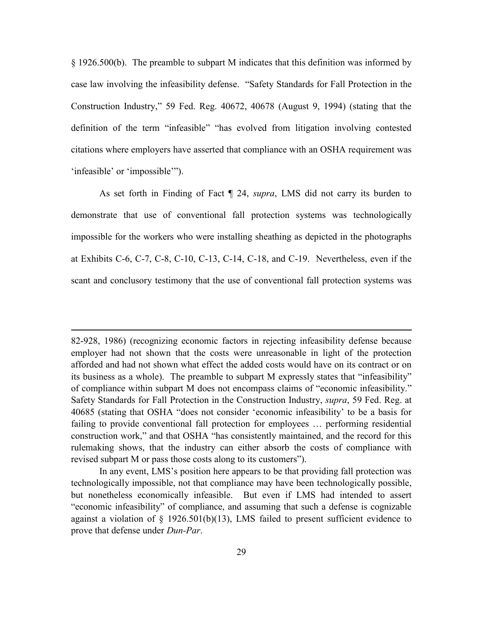§ 1926.500(b). The preamble to subpart M indicates that this definition was informed by case law involving the infeasibility defense. "Safety Standards for Fall Protection in the Construction Industry," 59 Fed. Reg. 40672, 40678 (August 9, 1994) (stating that the definition of the term "infeasible" "has evolved from litigation involving contested citations where employers have asserted that compliance with an OSHA requirement was 'infeasible' or 'impossible'").

As set forth in Finding of Fact ¶ 24, *supra*, LMS did not carry its burden to demonstrate that use of conventional fall protection systems was technologically impossible for the workers who were installing sheathing as depicted in the photographs at Exhibits C-6, C-7, C-8, C-10, C-13, C-14, C-18, and C-19. Nevertheless, even if the scant and conclusory testimony that the use of conventional fall protection systems was

<sup>82-928, 1986) (</sup>recognizing economic factors in rejecting infeasibility defense because employer had not shown that the costs were unreasonable in light of the protection afforded and had not shown what effect the added costs would have on its contract or on its business as a whole). The preamble to subpart M expressly states that "infeasibility" of compliance within subpart M does not encompass claims of "economic infeasibility." Safety Standards for Fall Protection in the Construction Industry, *supra*, 59 Fed. Reg. at 40685 (stating that OSHA "does not consider 'economic infeasibility' to be a basis for failing to provide conventional fall protection for employees … performing residential construction work," and that OSHA "has consistently maintained, and the record for this rulemaking shows, that the industry can either absorb the costs of compliance with revised subpart M or pass those costs along to its customers").

In any event, LMS's position here appears to be that providing fall protection was technologically impossible, not that compliance may have been technologically possible, but nonetheless economically infeasible. But even if LMS had intended to assert "economic infeasibility" of compliance, and assuming that such a defense is cognizable against a violation of  $\S$  1926.501(b)(13), LMS failed to present sufficient evidence to prove that defense under *Dun-Par*.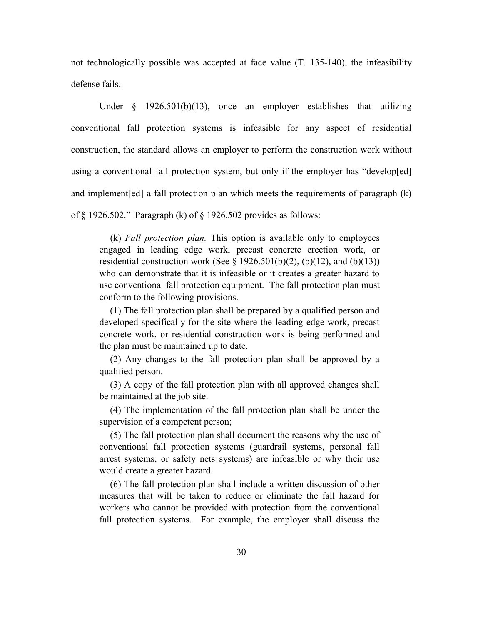not technologically possible was accepted at face value (T. 135-140), the infeasibility defense fails.

Under  $\S$  1926.501(b)(13), once an employer establishes that utilizing conventional fall protection systems is infeasible for any aspect of residential construction, the standard allows an employer to perform the construction work without using a conventional fall protection system, but only if the employer has "develop[ed] and implement[ed] a fall protection plan which meets the requirements of paragraph (k) of § 1926.502." Paragraph (k) of § 1926.502 provides as follows:

(k) *Fall protection plan.* This option is available only to employees engaged in leading edge work, precast concrete erection work, or residential construction work (See  $\S$  1926.501(b)(2), (b)(12), and (b)(13)) who can demonstrate that it is infeasible or it creates a greater hazard to use conventional fall protection equipment. The fall protection plan must conform to the following provisions.

(1) The fall protection plan shall be prepared by a qualified person and developed specifically for the site where the leading edge work, precast concrete work, or residential construction work is being performed and the plan must be maintained up to date.

(2) Any changes to the fall protection plan shall be approved by a qualified person.

(3) A copy of the fall protection plan with all approved changes shall be maintained at the job site.

(4) The implementation of the fall protection plan shall be under the supervision of a competent person;

(5) The fall protection plan shall document the reasons why the use of conventional fall protection systems (guardrail systems, personal fall arrest systems, or safety nets systems) are infeasible or why their use would create a greater hazard.

(6) The fall protection plan shall include a written discussion of other measures that will be taken to reduce or eliminate the fall hazard for workers who cannot be provided with protection from the conventional fall protection systems. For example, the employer shall discuss the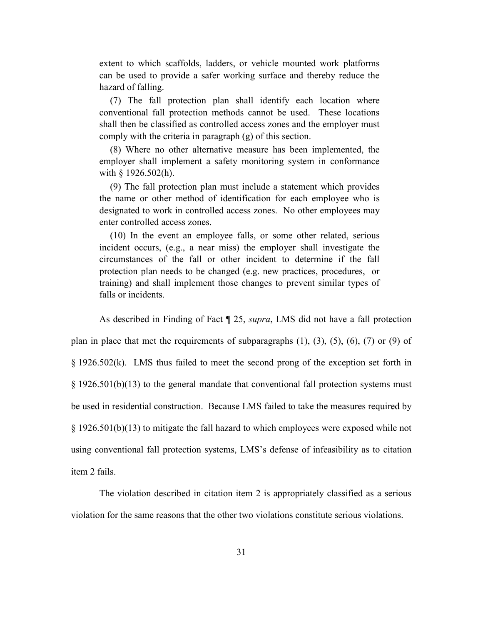extent to which scaffolds, ladders, or vehicle mounted work platforms can be used to provide a safer working surface and thereby reduce the hazard of falling.

(7) The fall protection plan shall identify each location where conventional fall protection methods cannot be used. These locations shall then be classified as controlled access zones and the employer must comply with the criteria in paragraph (g) of this section.

(8) Where no other alternative measure has been implemented, the employer shall implement a safety monitoring system in conformance with § 1926.502(h).

(9) The fall protection plan must include a statement which provides the name or other method of identification for each employee who is designated to work in controlled access zones. No other employees may enter controlled access zones.

(10) In the event an employee falls, or some other related, serious incident occurs, (e.g., a near miss) the employer shall investigate the circumstances of the fall or other incident to determine if the fall protection plan needs to be changed (e.g. new practices, procedures, or training) and shall implement those changes to prevent similar types of falls or incidents.

As described in Finding of Fact ¶ 25, *supra*, LMS did not have a fall protection

plan in place that met the requirements of subparagraphs  $(1)$ ,  $(3)$ ,  $(5)$ ,  $(6)$ ,  $(7)$  or  $(9)$  of

§ 1926.502(k). LMS thus failed to meet the second prong of the exception set forth in § 1926.501(b)(13) to the general mandate that conventional fall protection systems must be used in residential construction. Because LMS failed to take the measures required by § 1926.501(b)(13) to mitigate the fall hazard to which employees were exposed while not using conventional fall protection systems, LMS's defense of infeasibility as to citation item 2 fails.

The violation described in citation item 2 is appropriately classified as a serious violation for the same reasons that the other two violations constitute serious violations.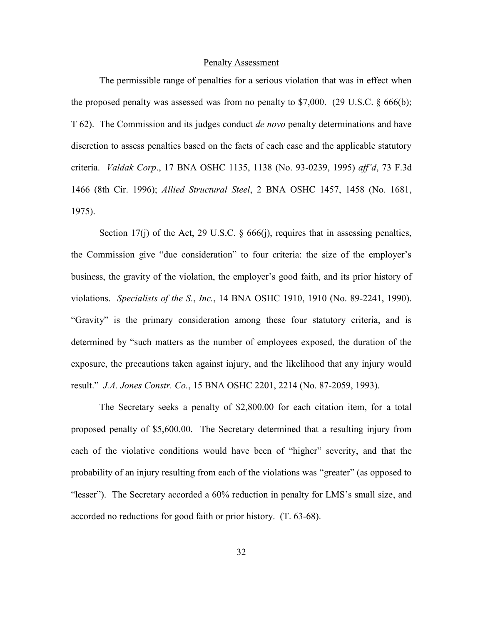#### Penalty Assessment

The permissible range of penalties for a serious violation that was in effect when the proposed penalty was assessed was from no penalty to \$7,000. (29 U.S.C. § 666(b); T 62). The Commission and its judges conduct *de novo* penalty determinations and have discretion to assess penalties based on the facts of each case and the applicable statutory criteria. *Valdak Corp*., 17 BNA OSHC 1135, 1138 (No. 93-0239, 1995) *aff'd*, 73 F.3d 1466 (8th Cir. 1996); *Allied Structural Steel*, 2 BNA OSHC 1457, 1458 (No. 1681, 1975).

Section 17(j) of the Act, 29 U.S.C.  $\S$  666(j), requires that in assessing penalties, the Commission give "due consideration" to four criteria: the size of the employer's business, the gravity of the violation, the employer's good faith, and its prior history of violations. *Specialists of the S.*, *Inc.*, 14 BNA OSHC 1910, 1910 (No. 89-2241, 1990). "Gravity" is the primary consideration among these four statutory criteria, and is determined by "such matters as the number of employees exposed, the duration of the exposure, the precautions taken against injury, and the likelihood that any injury would result." *J.A. Jones Constr. Co.*, 15 BNA OSHC 2201, 2214 (No. 87-2059, 1993).

The Secretary seeks a penalty of \$2,800.00 for each citation item, for a total proposed penalty of \$5,600.00. The Secretary determined that a resulting injury from each of the violative conditions would have been of "higher" severity, and that the probability of an injury resulting from each of the violations was "greater" (as opposed to "lesser"). The Secretary accorded a 60% reduction in penalty for LMS's small size, and accorded no reductions for good faith or prior history. (T. 63-68).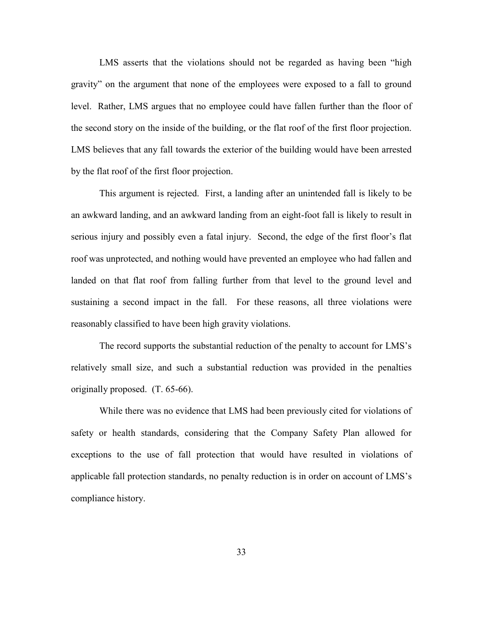LMS asserts that the violations should not be regarded as having been "high gravity" on the argument that none of the employees were exposed to a fall to ground level. Rather, LMS argues that no employee could have fallen further than the floor of the second story on the inside of the building, or the flat roof of the first floor projection. LMS believes that any fall towards the exterior of the building would have been arrested by the flat roof of the first floor projection.

This argument is rejected. First, a landing after an unintended fall is likely to be an awkward landing, and an awkward landing from an eight-foot fall is likely to result in serious injury and possibly even a fatal injury. Second, the edge of the first floor's flat roof was unprotected, and nothing would have prevented an employee who had fallen and landed on that flat roof from falling further from that level to the ground level and sustaining a second impact in the fall. For these reasons, all three violations were reasonably classified to have been high gravity violations.

The record supports the substantial reduction of the penalty to account for LMS's relatively small size, and such a substantial reduction was provided in the penalties originally proposed. (T. 65-66).

While there was no evidence that LMS had been previously cited for violations of safety or health standards, considering that the Company Safety Plan allowed for exceptions to the use of fall protection that would have resulted in violations of applicable fall protection standards, no penalty reduction is in order on account of LMS's compliance history.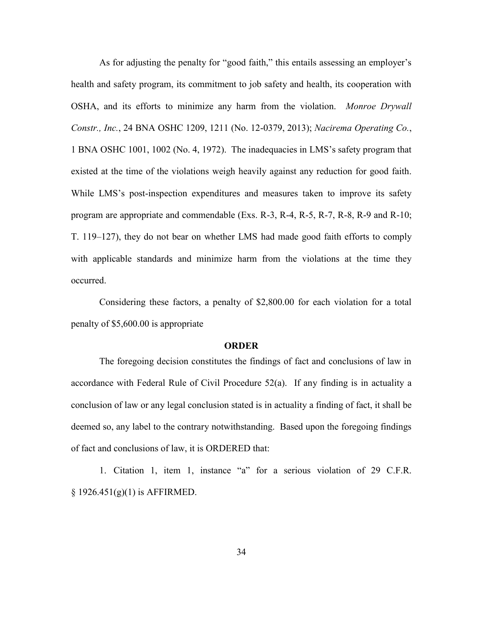As for adjusting the penalty for "good faith," this entails assessing an employer's health and safety program, its commitment to job safety and health, its cooperation with OSHA, and its efforts to minimize any harm from the violation. *Monroe Drywall Constr., Inc.*, 24 BNA OSHC 1209, 1211 (No. 12-0379, 2013); *Nacirema Operating Co.*, 1 BNA OSHC 1001, 1002 (No. 4, 1972). The inadequacies in LMS's safety program that existed at the time of the violations weigh heavily against any reduction for good faith. While LMS's post-inspection expenditures and measures taken to improve its safety program are appropriate and commendable (Exs. R-3, R-4, R-5, R-7, R-8, R-9 and R-10; T. 119–127), they do not bear on whether LMS had made good faith efforts to comply with applicable standards and minimize harm from the violations at the time they occurred.

Considering these factors, a penalty of \$2,800.00 for each violation for a total penalty of \$5,600.00 is appropriate

#### **ORDER**

The foregoing decision constitutes the findings of fact and conclusions of law in accordance with Federal Rule of Civil Procedure 52(a). If any finding is in actuality a conclusion of law or any legal conclusion stated is in actuality a finding of fact, it shall be deemed so, any label to the contrary notwithstanding. Based upon the foregoing findings of fact and conclusions of law, it is ORDERED that:

1. Citation 1, item 1, instance "a" for a serious violation of 29 C.F.R.  $§ 1926.451(g)(1)$  is AFFIRMED.